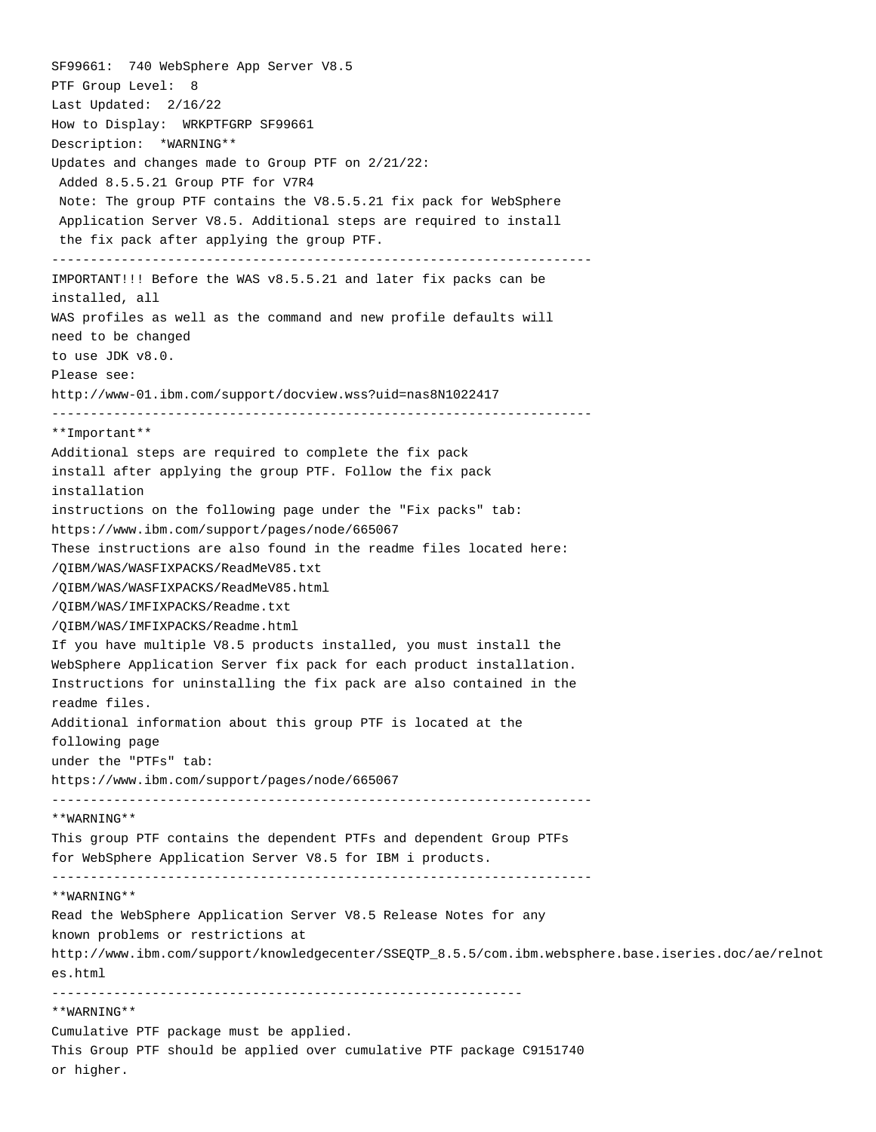SF99661: 740 WebSphere App Server V8.5 PTF Group Level: 8 Last Updated: 2/16/22 How to Display: WRKPTFGRP SF99661 Description: \*WARNING\*\* Updates and changes made to Group PTF on 2/21/22: Added 8.5.5.21 Group PTF for V7R4 Note: The group PTF contains the V8.5.5.21 fix pack for WebSphere Application Server V8.5. Additional steps are required to install the fix pack after applying the group PTF. ---------------------------------------------------------------------- IMPORTANT!!! Before the WAS v8.5.5.21 and later fix packs can be installed, all WAS profiles as well as the command and new profile defaults will need to be changed to use JDK v8.0. Please see: http://www-01.ibm.com/support/docview.wss?uid=nas8N1022417 ---------------------------------------------------------------------- \*\*Important\*\* Additional steps are required to complete the fix pack install after applying the group PTF. Follow the fix pack installation instructions on the following page under the "Fix packs" tab: https://www.ibm.com/support/pages/node/665067 These instructions are also found in the readme files located here: /QIBM/WAS/WASFIXPACKS/ReadMeV85.txt /QIBM/WAS/WASFIXPACKS/ReadMeV85.html /QIBM/WAS/IMFIXPACKS/Readme.txt /QIBM/WAS/IMFIXPACKS/Readme.html If you have multiple V8.5 products installed, you must install the WebSphere Application Server fix pack for each product installation. Instructions for uninstalling the fix pack are also contained in the readme files. Additional information about this group PTF is located at the following page under the "PTFs" tab: https://www.ibm.com/support/pages/node/665067 ---------------------------------------------------------------------- \*\*WARNING\*\* This group PTF contains the dependent PTFs and dependent Group PTFs for WebSphere Application Server V8.5 for IBM i products. ---------------------------------------------------------------------- \*\*WARNING\*\* Read the WebSphere Application Server V8.5 Release Notes for any known problems or restrictions at http://www.ibm.com/support/knowledgecenter/SSEQTP\_8.5.5/com.ibm.websphere.base.iseries.doc/ae/relnot es.html ------------------------------------------------------------- \*\*WARNING\*\* Cumulative PTF package must be applied. This Group PTF should be applied over cumulative PTF package C9151740

or higher.